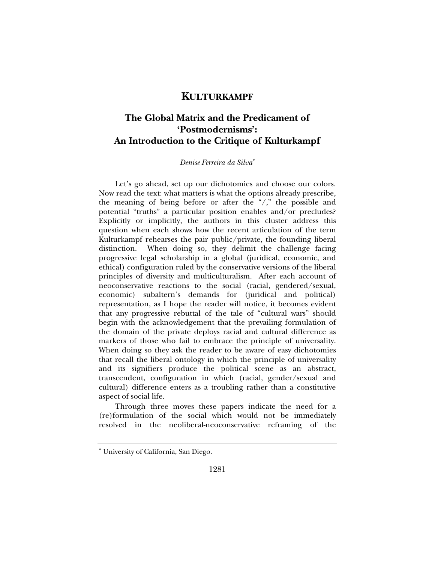## **KULTURKAMPF**

# **The Global Matrix and the Predicament of 'Postmodernisms': An Introduction to the Critique of Kulturkampf**

#### *Denise Ferreira da Silva*<sup>∗</sup>

Let's go ahead, set up our dichotomies and choose our colors. Now read the text: what matters is what the options already prescribe, the meaning of being before or after the "/," the possible and potential "truths" a particular position enables and/or precludes? Explicitly or implicitly, the authors in this cluster address this question when each shows how the recent articulation of the term Kulturkampf rehearses the pair public/private, the founding liberal distinction. When doing so, they delimit the challenge facing progressive legal scholarship in a global (juridical, economic, and ethical) configuration ruled by the conservative versions of the liberal principles of diversity and multiculturalism. After each account of neoconservative reactions to the social (racial, gendered/sexual, economic) subaltern's demands for (juridical and political) representation, as I hope the reader will notice, it becomes evident that any progressive rebuttal of the tale of "cultural wars" should begin with the acknowledgement that the prevailing formulation of the domain of the private deploys racial and cultural difference as markers of those who fail to embrace the principle of universality. When doing so they ask the reader to be aware of easy dichotomies that recall the liberal ontology in which the principle of universality and its signifiers produce the political scene as an abstract, transcendent, configuration in which (racial, gender/sexual and cultural) difference enters as a troubling rather than a constitutive aspect of social life.

Through three moves these papers indicate the need for a (re)formulation of the social which would not be immediately resolved in the neoliberal-neoconservative reframing of the

<sup>∗</sup> University of California, San Diego.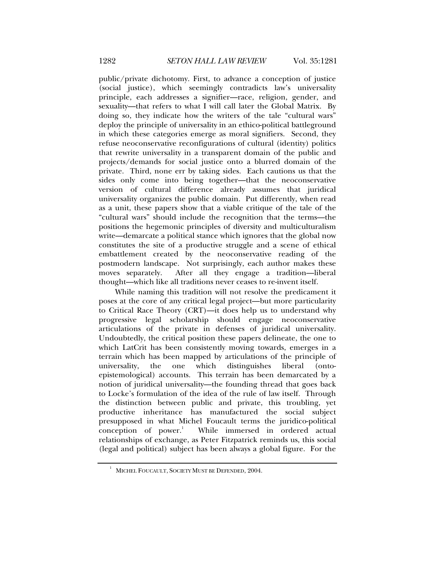public/private dichotomy. First, to advance a conception of justice (social justice), which seemingly contradicts law's universality principle, each addresses a signifier—race, religion, gender, and sexuality—that refers to what I will call later the Global Matrix. By doing so, they indicate how the writers of the tale "cultural wars" deploy the principle of universality in an ethico-political battleground in which these categories emerge as moral signifiers. Second, they refuse neoconservative reconfigurations of cultural (identity) politics that rewrite universality in a transparent domain of the public and projects/demands for social justice onto a blurred domain of the private. Third, none err by taking sides. Each cautions us that the sides only come into being together—that the neoconservative version of cultural difference already assumes that juridical universality organizes the public domain. Put differently, when read as a unit, these papers show that a viable critique of the tale of the "cultural wars" should include the recognition that the terms—the positions the hegemonic principles of diversity and multiculturalism write—demarcate a political stance which ignores that the global now constitutes the site of a productive struggle and a scene of ethical embattlement created by the neoconservative reading of the postmodern landscape. Not surprisingly, each author makes these moves separately. After all they engage a tradition—liberal thought—which like all traditions never ceases to re-invent itself.

While naming this tradition will not resolve the predicament it poses at the core of any critical legal project—but more particularity to Critical Race Theory (CRT)—it does help us to understand why progressive legal scholarship should engage neoconservative articulations of the private in defenses of juridical universality. Undoubtedly, the critical position these papers delineate, the one to which LatCrit has been consistently moving towards, emerges in a terrain which has been mapped by articulations of the principle of universality, the one which distinguishes liberal (ontoepistemological) accounts. This terrain has been demarcated by a notion of juridical universality—the founding thread that goes back to Locke's formulation of the idea of the rule of law itself. Through the distinction between public and private, this troubling, yet productive inheritance has manufactured the social subject presupposed in what Michel Foucault terms the juridico-political  $conception$  of power. $<sup>1</sup>$ </sup> While immersed in ordered actual relationships of exchange, as Peter Fitzpatrick reminds us, this social (legal and political) subject has been always a global figure. For the

<sup>1</sup> MICHEL FOUCAULT, SOCIETY MUST BE DEFENDED, 2004.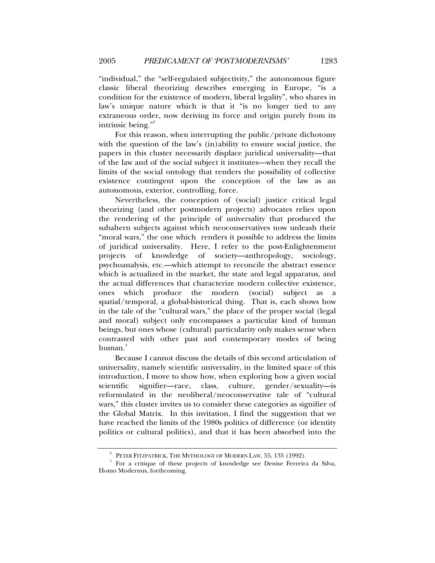"individual," the "self-regulated subjectivity," the autonomous figure classic liberal theorizing describes emerging in Europe, "is a condition for the existence of modern, liberal legality", who shares in law's unique nature which is that it "is no longer tied to any extraneous order, now deriving its force and origin purely from its intrinsic being."

For this reason, when interrupting the public/private dichotomy with the question of the law's (in)ability to ensure social justice, the papers in this cluster necessarily displace juridical universality—that of the law and of the social subject it institutes—when they recall the limits of the social ontology that renders the possibility of collective existence contingent upon the conception of the law as an autonomous, exterior, controlling, force.

Nevertheless, the conception of (social) justice critical legal theorizing (and other postmodern projects) advocates relies upon the rendering of the principle of universality that produced the subaltern subjects against which neoconservatives now unleash their "moral wars," the one which renders it possible to address the limits of juridical universality. Here, I refer to the post-Enlightenment projects of knowledge of society—anthropology, sociology, psychoanalysis, etc.—which attempt to reconcile the abstract essence which is actualized in the market, the state and legal apparatus, and the actual differences that characterize modern collective existence, ones which produce the modern (social) subject as spatial/temporal, a global-historical thing. That is, each shows how in the tale of the "cultural wars," the place of the proper social (legal and moral) subject only encompasses a particular kind of human beings, but ones whose (cultural) particularity only makes sense when contrasted with other past and contemporary modes of being human.<sup>3</sup>

Because I cannot discuss the details of this second articulation of universality, namely scientific universality, in the limited space of this introduction, I move to show how, when exploring how a given social scientific signifier—race, class, culture, gender/sexuality—is reformulated in the neoliberal/neoconservative tale of "cultural wars," this cluster invites us to consider these categories as signifier of the Global Matrix. In this invitation, I find the suggestion that we have reached the limits of the 1980s politics of difference (or identity politics or cultural politics), and that it has been absorbed into the

<sup>2</sup> PETER FITZPATRICK, THE MYTHOLOGY OF MODERN LAW, 55, 135 (1992).

<sup>&</sup>lt;sup>3</sup> For a critique of these projects of knowledge see Denise Ferreira da Silva, Homo Modernus, forthcoming.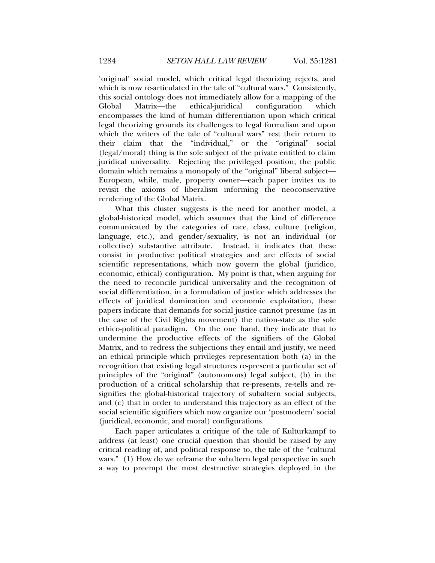'original' social model, which critical legal theorizing rejects, and which is now re-articulated in the tale of "cultural wars." Consistently, this social ontology does not immediately allow for a mapping of the Global Matrix—the ethical-juridical configuration which encompasses the kind of human differentiation upon which critical legal theorizing grounds its challenges to legal formalism and upon which the writers of the tale of "cultural wars" rest their return to their claim that the "individual," or the "original" social (legal/moral) thing is the sole subject of the private entitled to claim juridical universality. Rejecting the privileged position, the public domain which remains a monopoly of the "original" liberal subject— European, while, male, property owner—each paper invites us to revisit the axioms of liberalism informing the neoconservative rendering of the Global Matrix.

What this cluster suggests is the need for another model, a global-historical model, which assumes that the kind of difference communicated by the categories of race, class, culture (religion, language, etc.), and gender/sexuality, is not an individual (or collective) substantive attribute. Instead, it indicates that these consist in productive political strategies and are effects of social scientific representations, which now govern the global (juridico, economic, ethical) configuration. My point is that, when arguing for the need to reconcile juridical universality and the recognition of social differentiation, in a formulation of justice which addresses the effects of juridical domination and economic exploitation, these papers indicate that demands for social justice cannot presume (as in the case of the Civil Rights movement) the nation-state as the sole ethico-political paradigm. On the one hand, they indicate that to undermine the productive effects of the signifiers of the Global Matrix, and to redress the subjections they entail and justify, we need an ethical principle which privileges representation both (a) in the recognition that existing legal structures re-present a particular set of principles of the "original" (autonomous) legal subject, (b) in the production of a critical scholarship that re-presents, re-tells and resignifies the global-historical trajectory of subaltern social subjects, and (c) that in order to understand this trajectory as an effect of the social scientific signifiers which now organize our 'postmodern' social (juridical, economic, and moral) configurations.

Each paper articulates a critique of the tale of Kulturkampf to address (at least) one crucial question that should be raised by any critical reading of, and political response to, the tale of the "cultural wars." (1) How do we reframe the subaltern legal perspective in such a way to preempt the most destructive strategies deployed in the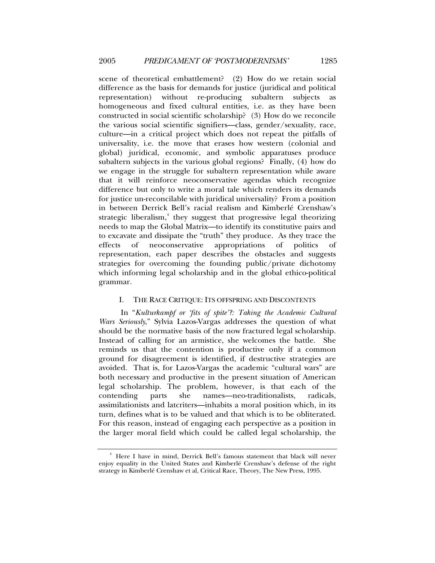scene of theoretical embattlement? (2) How do we retain social difference as the basis for demands for justice (juridical and political representation) without re-producing subaltern subjects as homogeneous and fixed cultural entities, i.e. as they have been constructed in social scientific scholarship? (3) How do we reconcile the various social scientific signifiers—class, gender/sexuality, race, culture—in a critical project which does not repeat the pitfalls of universality, i.e. the move that erases how western (colonial and global) juridical, economic, and symbolic apparatuses produce subaltern subjects in the various global regions? Finally, (4) how do we engage in the struggle for subaltern representation while aware that it will reinforce neoconservative agendas which recognize difference but only to write a moral tale which renders its demands for justice un-reconcilable with juridical universality? From a position in between Derrick Bell's racial realism and Kimberlé Crenshaw's strategic liberalism,<sup>4</sup> they suggest that progressive legal theorizing needs to map the Global Matrix—to identify its constitutive pairs and to excavate and dissipate the "truth" they produce. As they trace the effects of neoconservative appropriations of politics of representation, each paper describes the obstacles and suggests strategies for overcoming the founding public/private dichotomy which informing legal scholarship and in the global ethico-political grammar.

### I. THE RACE CRITIQUE: ITS OFFSPRING AND DISCONTENTS

 In "*Kulturkampf or 'fits of spite'?: Taking the Academic Cultural Wars Seriously*," Sylvia Lazos-Vargas addresses the question of what should be the normative basis of the now fractured legal scholarship. Instead of calling for an armistice, she welcomes the battle. She reminds us that the contention is productive only if a common ground for disagreement is identified, if destructive strategies are avoided. That is, for Lazos-Vargas the academic "cultural wars" are both necessary and productive in the present situation of American legal scholarship. The problem, however, is that each of the contending parts she names—neo-traditionalists, radicals, assimilationists and latcriters—inhabits a moral position which, in its turn, defines what is to be valued and that which is to be obliterated. For this reason, instead of engaging each perspective as a position in the larger moral field which could be called legal scholarship, the

<sup>4</sup> Here I have in mind, Derrick Bell's famous statement that black will never enjoy equality in the United States and Kimberlé Crenshaw's defense of the right strategy in Kimberlé Crenshaw et al, Critical Race, Theory, The New Press, 1995.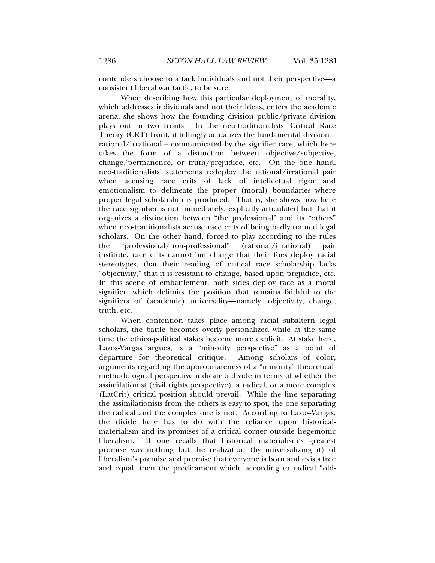contenders choose to attack individuals and not their perspective—a consistent liberal war tactic, to be sure.

 When describing how this particular deployment of morality, which addresses individuals and not their ideas, enters the academic arena, she shows how the founding division public/private division plays out in two fronts. In the neo-traditionalists- Critical Race Theory (CRT) front, it tellingly actualizes the fundamental division – rational/irrational – communicated by the signifier race, which here takes the form of a distinction between objective/subjective, change/permanence, or truth/prejudice, etc. On the one hand, neo-traditionalists' statements redeploy the rational/irrational pair when accusing race crits of lack of intellectual rigor and emotionalism to delineate the proper (moral) boundaries where proper legal scholarship is produced. That is, she shows how here the race signifier is not immediately, explicitly articulated but that it organizes a distinction between "the professional" and its "others" when neo-traditionalists accuse race crits of being badly trained legal scholars. On the other hand, forced to play according to the rules the "professional/non-professional" (rational/irrational) pair institute, race crits cannot but charge that their foes deploy racial stereotypes, that their reading of critical race scholarship lacks "objectivity," that it is resistant to change, based upon prejudice, etc. In this scene of embattlement, both sides deploy race as a moral signifier, which delimits the position that remains faithful to the signifiers of (academic) universality—namely, objectivity, change, truth, etc.

 When contention takes place among racial subaltern legal scholars, the battle becomes overly personalized while at the same time the ethico-political stakes become more explicit. At stake here, Lazos-Vargas argues, is a "minority perspective" as a point of departure for theoretical critique. Among scholars of color, arguments regarding the appropriateness of a "minority" theoreticalmethodological perspective indicate a divide in terms of whether the assimilationist (civil rights perspective), a radical, or a more complex (LatCrit) critical position should prevail. While the line separating the assimilationists from the others is easy to spot, the one separating the radical and the complex one is not. According to Lazos-Vargas, the divide here has to do with the reliance upon historicalmaterialism and its promises of a critical corner outside hegemonic liberalism. If one recalls that historical materialism's greatest promise was nothing but the realization (by universalizing it) of liberalism's premise and promise that everyone is born and exists free and equal, then the predicament which, according to radical "old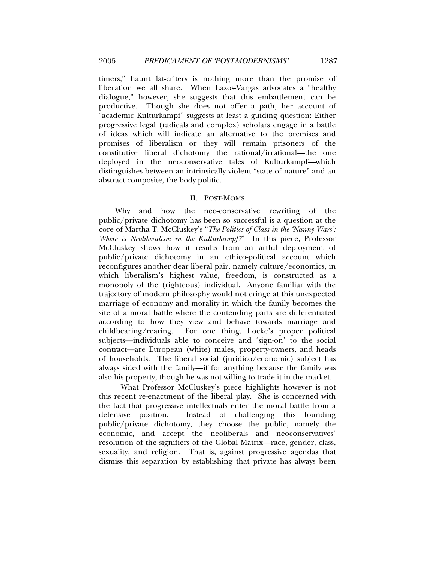timers," haunt lat-criters is nothing more than the promise of liberation we all share. When Lazos-Vargas advocates a "healthy dialogue," however, she suggests that this embattlement can be productive. Though she does not offer a path, her account of "academic Kulturkampf" suggests at least a guiding question: Either progressive legal (radicals and complex) scholars engage in a battle of ideas which will indicate an alternative to the premises and promises of liberalism or they will remain prisoners of the constitutive liberal dichotomy the rational/irrational—the one deployed in the neoconservative tales of Kulturkampf—which distinguishes between an intrinsically violent "state of nature" and an abstract composite, the body politic.

#### II. POST-MOMS

Why and how the neo-conservative rewriting of the public/private dichotomy has been so successful is a question at the core of Martha T. McCluskey's "*The Politics of Class in the 'Nanny Wars': Where is Neoliberalism in the Kulturkampf?*" In this piece, Professor McCluskey shows how it results from an artful deployment of public/private dichotomy in an ethico-political account which reconfigures another dear liberal pair, namely culture/economics, in which liberalism's highest value, freedom, is constructed as a monopoly of the (righteous) individual. Anyone familiar with the trajectory of modern philosophy would not cringe at this unexpected marriage of economy and morality in which the family becomes the site of a moral battle where the contending parts are differentiated according to how they view and behave towards marriage and childbearing/rearing. For one thing, Locke's proper political subjects—individuals able to conceive and 'sign-on' to the social contract—are European (white) males, property-owners, and heads of households. The liberal social (juridico/economic) subject has always sided with the family—if for anything because the family was also his property, though he was not willing to trade it in the market.

 What Professor McCluskey's piece highlights however is not this recent re-enactment of the liberal play. She is concerned with the fact that progressive intellectuals enter the moral battle from a defensive position. Instead of challenging this founding public/private dichotomy, they choose the public, namely the economic, and accept the neoliberals and neoconservatives' resolution of the signifiers of the Global Matrix—race, gender, class, sexuality, and religion. That is, against progressive agendas that dismiss this separation by establishing that private has always been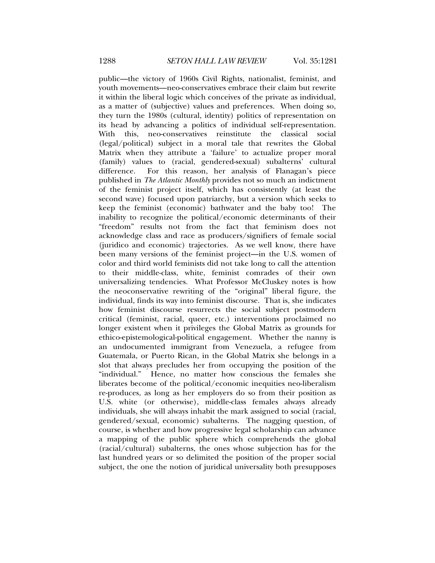public—the victory of 1960s Civil Rights, nationalist, feminist, and youth movements—neo-conservatives embrace their claim but rewrite it within the liberal logic which conceives of the private as individual, as a matter of (subjective) values and preferences. When doing so, they turn the 1980s (cultural, identity) politics of representation on its head by advancing a politics of individual self-representation. With this, neo-conservatives reinstitute the classical social (legal/political) subject in a moral tale that rewrites the Global Matrix when they attribute a 'failure' to actualize proper moral (family) values to (racial, gendered-sexual) subalterns' cultural difference. For this reason, her analysis of Flanagan's piece published in *The Atlantic Monthly* provides not so much an indictment of the feminist project itself, which has consistently (at least the second wave) focused upon patriarchy, but a version which seeks to keep the feminist (economic) bathwater and the baby too! The inability to recognize the political/economic determinants of their "freedom" results not from the fact that feminism does not acknowledge class and race as producers/signifiers of female social (juridico and economic) trajectories. As we well know, there have been many versions of the feminist project—in the U.S. women of color and third world feminists did not take long to call the attention to their middle-class, white, feminist comrades of their own universalizing tendencies. What Professor McCluskey notes is how the neoconservative rewriting of the "original" liberal figure, the individual, finds its way into feminist discourse. That is, she indicates how feminist discourse resurrects the social subject postmodern critical (feminist, racial, queer, etc.) interventions proclaimed no longer existent when it privileges the Global Matrix as grounds for ethico-epistemological-political engagement. Whether the nanny is an undocumented immigrant from Venezuela, a refugee from Guatemala, or Puerto Rican, in the Global Matrix she belongs in a slot that always precludes her from occupying the position of the "individual." Hence, no matter how conscious the females she liberates become of the political/economic inequities neo-liberalism re-produces, as long as her employers do so from their position as U.S. white (or otherwise), middle-class females always already individuals, she will always inhabit the mark assigned to social (racial, gendered/sexual, economic) subalterns. The nagging question, of course, is whether and how progressive legal scholarship can advance a mapping of the public sphere which comprehends the global (racial/cultural) subalterns, the ones whose subjection has for the last hundred years or so delimited the position of the proper social subject, the one the notion of juridical universality both presupposes